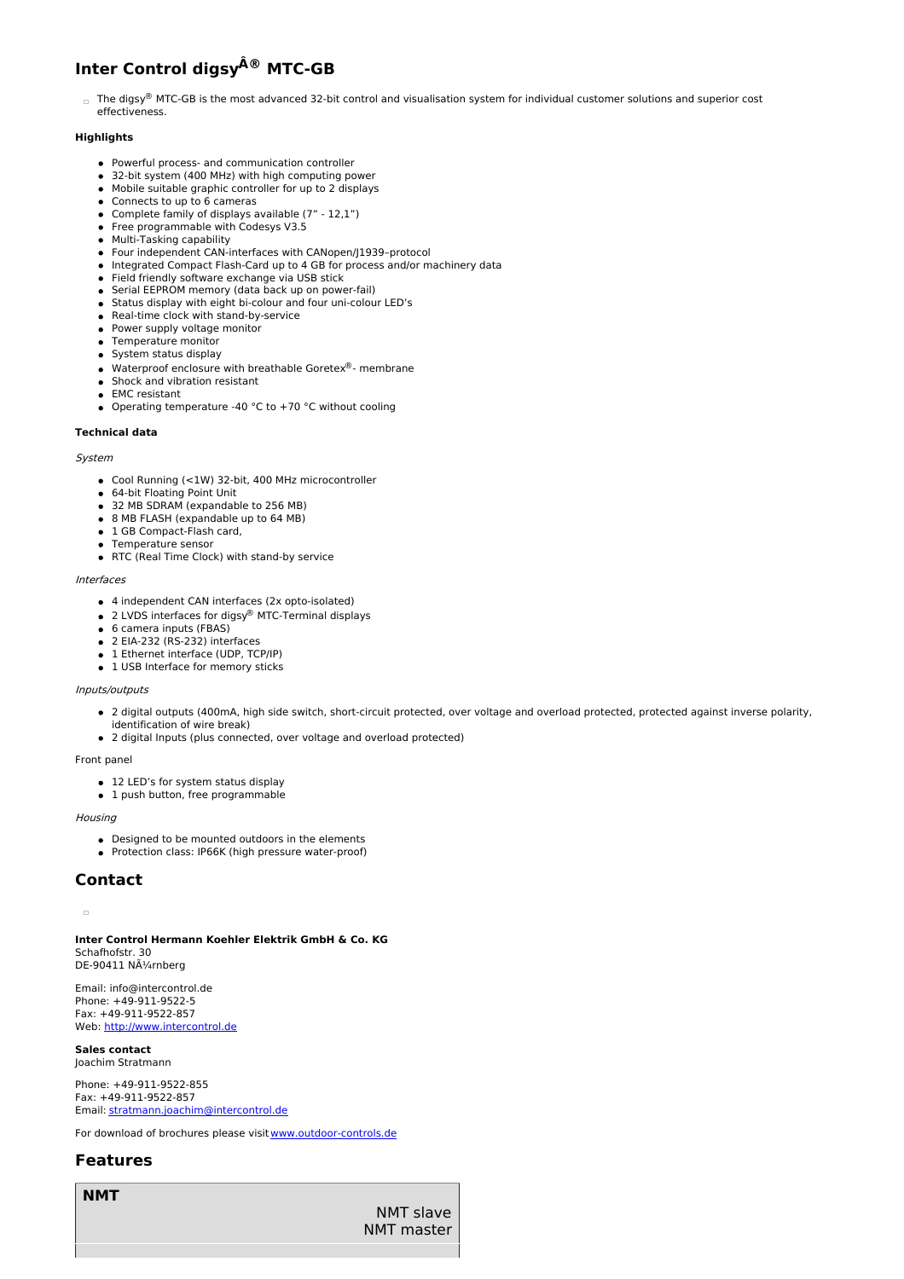# **Inter Control digsy ® MTC-GB**

□ The digsy® MTC-GB is the most advanced 32-bit control and visualisation system for individual customer solutions and superior cost effectiveness.

# **Highlights**

- Powerful process- and communication controller
- 32-bit system (400 MHz) with high computing power
- Mobile suitable graphic controller for up to 2 displays
- Connects to up to 6 cameras
- Complete family of displays available (7" 12,1") • Free programmable with Codesys V3.5
- Multi-Tasking capability
- Four independent CAN-interfaces with CANopen/J1939–protocol
- Integrated Compact Flash-Card up to 4 GB for process and/or machinery data
- Field friendly software exchange via USB stick
- Serial EEPROM memory (data back up on power-fail)
- Status display with eight bi-colour and four uni-colour LED's
- Real-time clock with stand-by-service • Power supply voltage monitor
- 
- Temperature monitor
- System status display
- Waterproof enclosure with breathable Goretex®- membrane
- **Shock and vibration resistant** EMC resistant
- Operating temperature -40  $^{\circ}$ C to +70  $^{\circ}$ C without cooling

#### **Technical data**

#### System

- Cool Running (<1W) 32-bit, 400 MHz microcontroller
- 64-bit Floating Point Unit
- 32 MB SDRAM (expandable to 256 MB)
- 8 MB FLASH (expandable up to 64 MB)
- 1 GB Compact-Flash card,
- Temperature sensor
- RTC (Real Time Clock) with stand-by service

#### Interfaces

- 4 independent CAN interfaces (2x opto-isolated)
- 2 LVDS interfaces for digsy<sup>®</sup> MTC-Terminal displays
- 6 camera inputs (FBAS)
- 2 EIA-232 (RS-232) interfaces
- 1 Ethernet interface (UDP, TCP/IP)
- 1 USB Interface for memory sticks

## Inputs/outputs

- 2 digital outputs (400mA, high side switch, short-circuit protected, over voltage and overload protected, protected against inverse polarity,
- identification of wire break)
- 2 digital Inputs (plus connected, over voltage and overload protected)

### Front panel

- 12 LED's for system status display
- 1 push button, free programmable

### **Housing**

- Designed to be mounted outdoors in the elements
- Protection class: IP66K (high pressure water-proof)

# **Contact**

## 'n

**Inter Control Hermann Koehler Elektrik GmbH & Co. KG** Schafhofstr. 30 DE-90411 NÃ1/4rnberg

Email: info@intercontrol.de Phone: +49-911-9522-5 Fax: +49-911-9522-857 Web: <http://www.intercontrol.de>

#### **Sales contact** Joachim Stratmann

Phone: +49-911-9522-855 Fax: +49-911-9522-857 Email: [stratmann.joachim@intercontrol.de](mailto:stratmann.joachim@intercontrol.de)

For download of brochures please visit [www.outdoor-controls.de](http://www.outdoor-controls.de)

# **Features**

**NMT**

NMT slave NMT master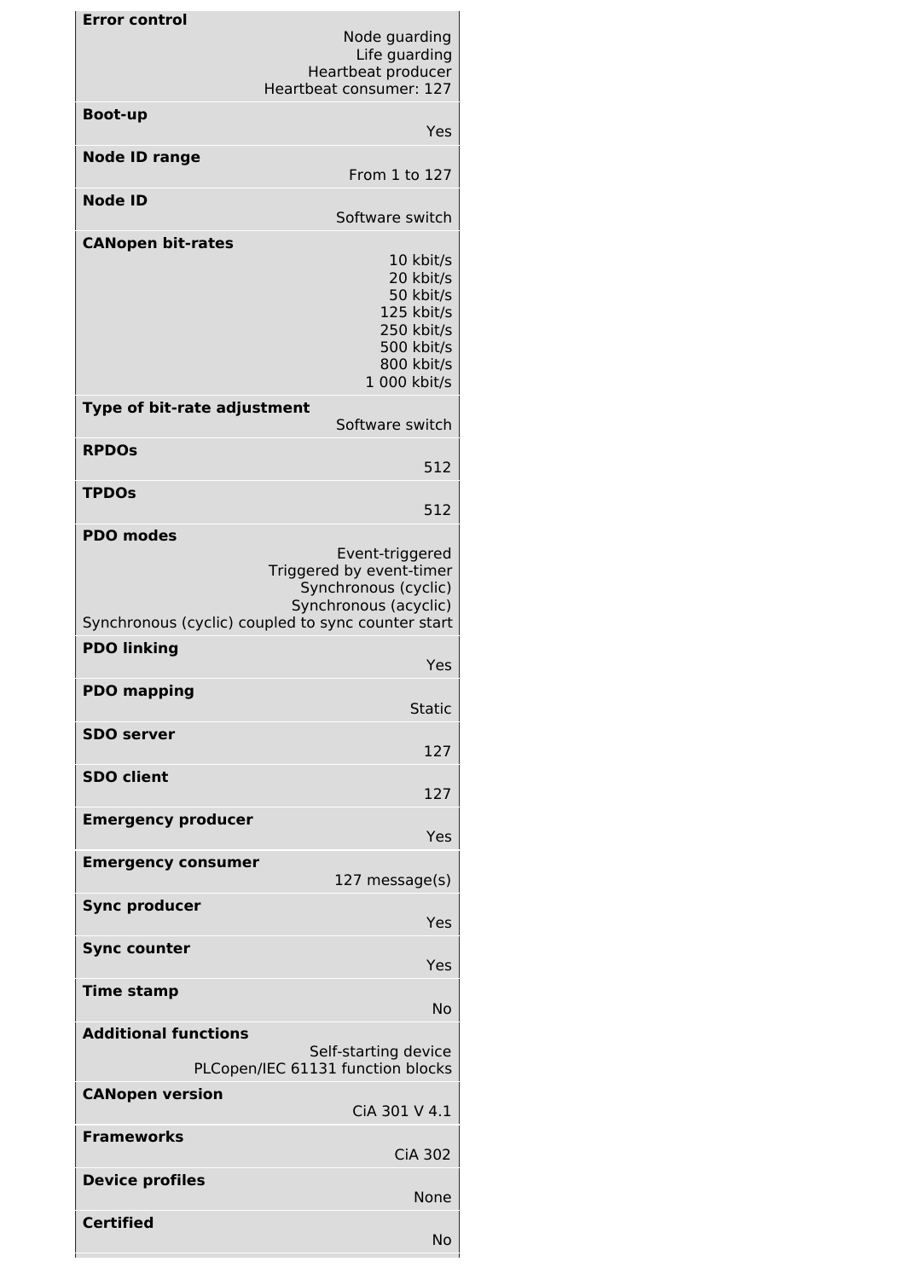| <b>Error control</b>                                | Node guarding<br>Life guarding<br>Heartbeat producer<br>Heartbeat consumer: 127                                                                    |
|-----------------------------------------------------|----------------------------------------------------------------------------------------------------------------------------------------------------|
| <b>Boot-up</b>                                      |                                                                                                                                                    |
|                                                     | Yes                                                                                                                                                |
| <b>Node ID range</b>                                | From 1 to 127                                                                                                                                      |
| <b>Node ID</b>                                      | Software switch                                                                                                                                    |
| <b>CANopen bit-rates</b>                            | 10 kbit/s<br>20 kbit/s<br>50 kbit/s<br>125 kbit/s<br>250 kbit/s<br>500 kbit/s<br>800 kbit/s<br>1 000 kbit/s                                        |
| Type of bit-rate adjustment                         | Software switch                                                                                                                                    |
| <b>RPDOS</b>                                        | 512                                                                                                                                                |
| <b>TPDOs</b>                                        | 512                                                                                                                                                |
| <b>PDO modes</b>                                    |                                                                                                                                                    |
|                                                     | Event-triggered<br>Triggered by event-timer<br>Synchronous (cyclic)<br>Synchronous (acyclic)<br>Synchronous (cyclic) coupled to sync counter start |
| <b>PDO linking</b>                                  |                                                                                                                                                    |
| <b>PDO mapping</b>                                  | Yes<br><b>Static</b>                                                                                                                               |
| <b>SDO</b> server                                   | 127                                                                                                                                                |
| <b>SDO client</b>                                   | 127                                                                                                                                                |
| <b>Emergency producer</b>                           |                                                                                                                                                    |
|                                                     | Yes                                                                                                                                                |
| <b>Emergency consumer</b>                           | 127 message(s)                                                                                                                                     |
| <b>Sync producer</b>                                | Yes                                                                                                                                                |
| <b>Sync counter</b>                                 | Yes                                                                                                                                                |
| <b>Time stamp</b>                                   | No                                                                                                                                                 |
| <b>Additional functions</b><br>Self-starting device |                                                                                                                                                    |
| PLCopen/IEC 61131 function blocks                   |                                                                                                                                                    |
| <b>CANopen version</b>                              | CiA 301 V 4.1                                                                                                                                      |
| <b>Frameworks</b>                                   | <b>CiA 302</b>                                                                                                                                     |
| <b>Device profiles</b>                              | None                                                                                                                                               |
| <b>Certified</b>                                    | No                                                                                                                                                 |